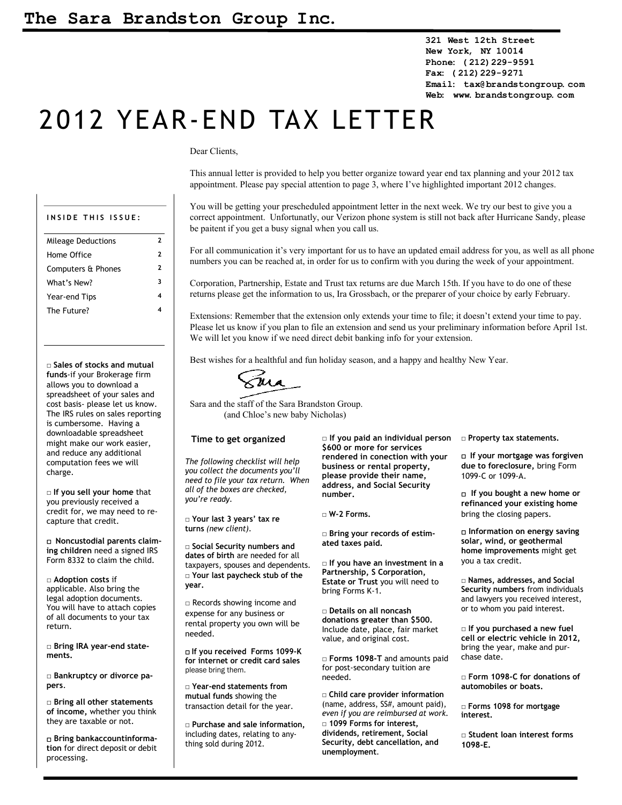**321 West 12th Street New York, NY 10014 Phone: (212)229-9591 Fax: (212)229-9271 Email: tax@brandstongroup.com Web: www.brandstongroup.com**

# 2012 YEAR-END TAX LETTER

#### Dear Clients,

This annual letter is provided to help you better organize toward year end tax planning and your 2012 tax appointment. Please pay special attention to page 3, where I've highlighted important 2012 changes.

| INSIDE THIS ISSUE:        |              |
|---------------------------|--------------|
| <b>Mileage Deductions</b> | 2            |
| Home Office               | $\mathbf{2}$ |
| Computers & Phones        | 2            |
| What's New?               | 3            |
| Year-end Tips             | 4            |
| The Future?               |              |
|                           |              |

**□ Sales of stocks and mutual funds**-if your Brokerage firm allows you to download a spreadsheet of your sales and cost basis- please let us know. The IRS rules on sales reporting is cumbersome. Having a downloadable spreadsheet might make our work easier, and reduce any additional computation fees we will charge.

**□ If you sell your home** that you previously received a credit for, we may need to recapture that credit.

□ **Noncustodial parents claiming children** need a signed IRS Form 8332 to claim the child.

**□ Adoption costs** if applicable. Also bring the legal adoption documents. You will have to attach copies of all documents to your tax return.

**□ Bring IRA year-end statements.** 

**□ Bankruptcy or divorce papers**.

**□ Bring all other statements of income,** whether you think they are taxable or not.

□ **Bring bank account information** for direct deposit or debit processing.

You will be getting your prescheduled appointment letter in the next week. We try our best to give you a correct appointment. Unfortunatly, our Verizon phone system is still not back after Hurricane Sandy, please be paitent if you get a busy signal when you call us.

For all communication it's very important for us to have an updated email address for you, as well as all phone numbers you can be reached at, in order for us to confirm with you during the week of your appointment.

Corporation, Partnership, Estate and Trust tax returns are due March 15th. If you have to do one of these returns please get the information to us, Ira Grossbach, or the preparer of your choice by early February.

Extensions: Remember that the extension only extends your time to file; it doesn't extend your time to pay. Please let us know if you plan to file an extension and send us your preliminary information before April 1st. We will let you know if we need direct debit banking info for your extension.

Best wishes for a healthful and fun holiday season, and a happy and healthy New Year.

*T*ua

Sara and the staff of the Sara Brandston Group. (and Chloe's new baby Nicholas)

#### **Time to get organized**

*The following checklist will help you collect the documents you'll need to file your tax return. When all of the boxes are checked, you're ready.*

**□ Your last 3 years' tax re turns** *(new client)*.

**□ Social Security numbers and dates of birth** are needed for all taxpayers, spouses and dependents. **□ Your last paycheck stub of the year.**

□ Records showing income and expense for any business or rental property you own will be needed.

□ **If you received Forms 1099-K for internet or credit card sales** please bring them.

**□ Year-end statements from mutual funds** showing the transaction detail for the year.

**□ Purchase and sale information,** including dates, relating to anything sold during 2012.

**□ If you paid an individual person □ Property tax statements. \$600 or more for services rendered in conection with your business or rental property, please provide their name, address, and Social Security number.**

**□ W-2 Forms.**

**□ Bring your records of estimated taxes paid.**

**□ If you have an investment in a Partnership, S Corporation, Estate or Trust** you will need to bring Forms K-1.

**□ Details on all noncash donations greater than \$500.** Include date, place, fair market value, and original cost.

**□ Forms 1098-T** and amounts paid for post-secondary tuition are needed.

**□ Child care provider information** (name, address, SS#, amount paid), *even if you are reimbursed at work.* **□ 1099 Forms for interest, dividends, retirement, Social Security, debt cancellation, and unemployment**.

□ **If your mortgage was forgiven due to foreclosure,** bring Form 1099-C or 1099-A.

□ **If you bought a new home or refinanced your existing home** bring the closing papers.

□ **Information on energy saving solar, wind, or geothermal home improvements** might get you a tax credit.

**□ Names, addresses, and Social Security numbers** from individuals and lawyers you received interest, or to whom you paid interest.

**□ If you purchased a new fuel cell or electric vehicle in 2012,** bring the year, make and purchase date.

**□ Form 1098-C for donations of automobiles or boats.** 

**□ Forms 1098 for mortgage interest.**

**□ Student loan interest forms 1098-E.**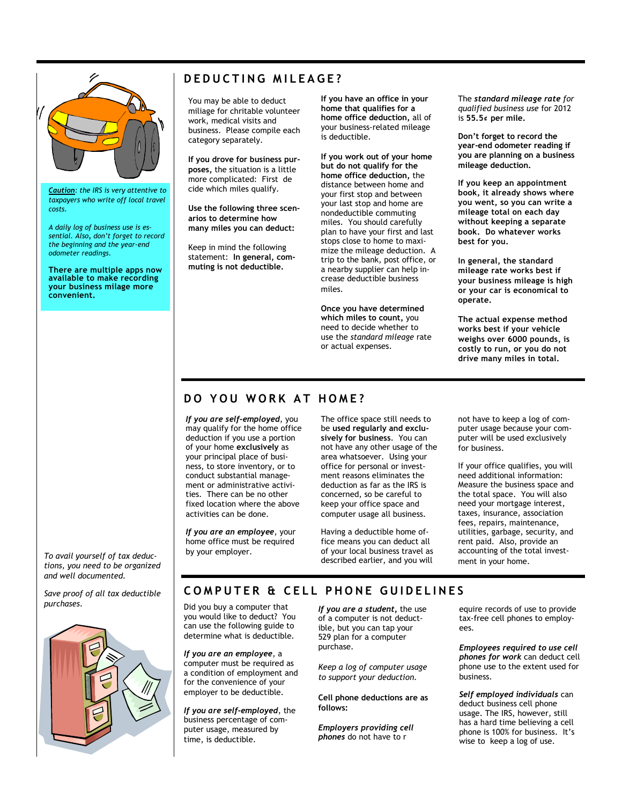

*Caution: the IRS is very attentive to taxpayers who write off local travel costs.*

*A daily log of business use is essential. Also, don't forget to record the beginning and the year-end odometer readings.*

**There are multiple apps now available to make recording your business milage more convenient.**

### **DEDUCTING MILEAGE?**

You may be able to deduct miliage for chritable volunteer work, medical visits and business. Please compile each category separately.

**If you drove for business purposes,** the situation is a little more complicated: First de cide which miles qualify.

**Use the following three scenarios to determine how many miles you can deduct:** 

Keep in mind the following statement: **In general, commuting is not deductible.** 

**If you have an office in your home that qualifies for a home office deduction,** all of your business-related mileage is deductible.

**If you work out of your home but do not qualify for the home office deduction,** the distance between home and your first stop and between your last stop and home are nondeductible commuting miles. You should carefully plan to have your first and last stops close to home to maximize the mileage deduction. A trip to the bank, post office, or a nearby supplier can help increase deductible business miles.

**Once you have determined which miles to count,** you need to decide whether to use the *standard mileage* rate or actual expenses.

The *standard mileage rate for qualified business use* for 2012 is **55.5¢ per mile.**

**Don't forget to record the year-end odometer reading if you are planning on a business mileage deduction.**

**If you keep an appointment book, it already shows where you went, so you can write a mileage total on each day without keeping a separate book. Do whatever works best for you.**

**In general, the standard mileage rate works best if your business mileage is high or your car is economical to operate.**

**The actual expense method works best if your vehicle weighs over 6000 pounds, is costly to run, or you do not drive many miles in total.**

#### **DO YOU WORK AT HOME?**

*If you are self-employed*, you may qualify for the home office deduction if you use a portion of your home **exclusively** as your principal place of business, to store inventory, or to conduct substantial management or administrative activities. There can be no other fixed location where the above activities can be done.

*If you are an employee*, your home office must be required by your employer.

The office space still needs to be **used regularly and exclusively for business**. You can not have any other usage of the area whatsoever. Using your office for personal or investment reasons eliminates the deduction as far as the IRS is concerned, so be careful to keep your office space and computer usage all business.

Having a deductible home office means you can deduct all of your local business travel as described earlier, and you will not have to keep a log of computer usage because your computer will be used exclusively for business.

If your office qualifies, you will need additional information: Measure the business space and the total space. You will also need your mortgage interest, taxes, insurance, association fees, repairs, maintenance, utilities, garbage, security, and rent paid. Also, provide an accounting of the total investment in your home.

*To avail yourself of tax deductions, you need to be organized and well documented.*

*Save proof of all tax deductible purchases.*



**C O M P U T E R & C E L L P H O N E G U I D E L I N E S** 

Did you buy a computer that you would like to deduct? You can use the following guide to determine what is deductible.

*If you are an employee*, a computer must be required as a condition of employment and for the convenience of your employer to be deductible.

*If you are self-employed*, the business percentage of computer usage, measured by time, is deductible.

*If you are a student,* the use of a computer is not deductible, but you can tap your 529 plan for a computer purchase.

*Keep a log of computer usage to support your deduction.* 

**Cell phone deductions are as follows:**

*Employers providing cell phones* do not have to r

equire records of use to provide tax-free cell phones to employees.

*Employees required to use cell phones for work* can deduct cell phone use to the extent used for business.

*Self employed individuals* can deduct business cell phone usage. The IRS, however, still has a hard time believing a cell phone is 100% for business. It's wise to keep a log of use.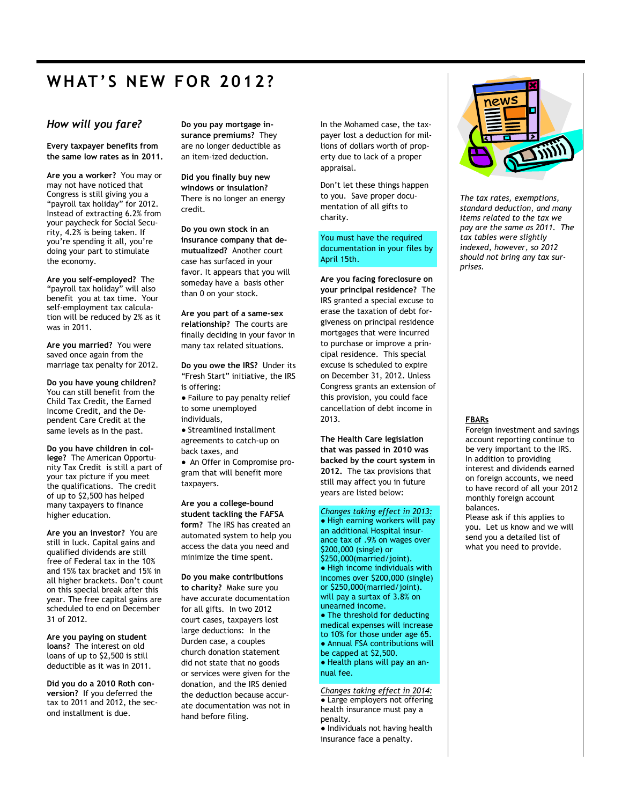# **WHAT'S NEW FOR 2012?**

#### *How will you fare?*

**Every taxpayer benefits from the same low rates as in 2011.**

**Are you a worker?** You may or may not have noticed that Congress is still giving you a "payroll tax holiday" for 2012. Instead of extracting 6.2% from your paycheck for Social Security, 4.2% is being taken. If you're spending it all, you're doing your part to stimulate the economy.

**Are you self-employed?** The "payroll tax holiday" will also benefit you at tax time. Your self-employment tax calculation will be reduced by 2% as it was in 2011.

**Are you married?** You were saved once again from the marriage tax penalty for 2012.

**Do you have young children?** You can still benefit from the Child Tax Credit, the Earned Income Credit, and the Dependent Care Credit at the same levels as in the past.

**Do you have children in college?** The American Opportunity Tax Credit is still a part of your tax picture if you meet the qualifications. The credit of up to \$2,500 has helped many taxpayers to finance higher education.

**Are you an investor?** You are still in luck. Capital gains and qualified dividends are still free of Federal tax in the 10% and 15% tax bracket and 15% in all higher brackets. Don't count on this special break after this year. The free capital gains are scheduled to end on December 31 of 2012.

**Are you paying on student loans?** The interest on old loans of up to \$2,500 is still deductible as it was in 2011.

**Did you do a 2010 Roth conversion?** If you deferred the tax to 2011 and 2012, the second installment is due.

**Do you pay mortgage insurance premiums?** They are no longer deductible as an item-ized deduction.

**Did you finally buy new windows or insulation?** There is no longer an energy credit.

**Do you own stock in an insurance company that demutualized?** Another court case has surfaced in your favor. It appears that you will someday have a basis other than 0 on your stock.

**Are you part of a same-sex relationship?** The courts are finally deciding in your favor in many tax related situations.

**Do you owe the IRS?** Under its "Fresh Start" initiative, the IRS is offering:

● Failure to pay penalty relief to some unemployed individuals,

● Streamlined installment agreements to catch-up on back taxes, and

● An Offer in Compromise program that will benefit more taxpayers.

**Are you a college-bound student tackling the FAFSA form?** The IRS has created an automated system to help you access the data you need and minimize the time spent.

**Do you make contributions to charity?** Make sure you have accurate documentation for all gifts. In two 2012 court cases, taxpayers lost large deductions: In the Durden case, a couples church donation statement did not state that no goods or services were given for the donation, and the IRS denied the deduction because accurate documentation was not in hand before filing.

In the Mohamed case, the taxpayer lost a deduction for millions of dollars worth of property due to lack of a proper appraisal.

Don't let these things happen to you. Save proper documentation of all gifts to charity.

You must have the required documentation in your files by April 15th.

**Are you facing foreclosure on your principal residence?** The IRS granted a special excuse to erase the taxation of debt forgiveness on principal residence mortgages that were incurred to purchase or improve a principal residence. This special excuse is scheduled to expire on December 31, 2012. Unless Congress grants an extension of this provision, you could face cancellation of debt income in 2013.

**The Health Care legislation that was passed in 2010 was backed by the court system in 2012.** The tax provisions that still may affect you in future years are listed below:

*Changes taking effect in 2013:*

● High earning workers will pay an additional Hospital insurance tax of .9% on wages over \$200,000 (single) or \$250,000(married/joint). ● High income individuals with incomes over \$200,000 (single) or \$250,000(married/joint). will pay a surtax of 3.8% on unearned income. • The threshold for deducting medical expenses will increase to 10% for those under age 65. ● Annual FSA contributions will be capped at \$2,500.

● Health plans will pay an annual fee.

*Changes taking effect in 2014:* • Large employers not offering health insurance must pay a penalty. ● Individuals not having health

insurance face a penalty.



*The tax rates, exemptions, standard deduction, and many items related to the tax we pay are the same as 2011. The tax tables were slightly indexed, however, so 2012 should not bring any tax surprises.*

#### **FBARs**

Foreign investment and savings account reporting continue to be very important to the IRS. In addition to providing interest and dividends earned on foreign accounts, we need to have record of all your 2012 monthly foreign account balances.

Please ask if this applies to you. Let us know and we will send you a detailed list of what you need to provide.